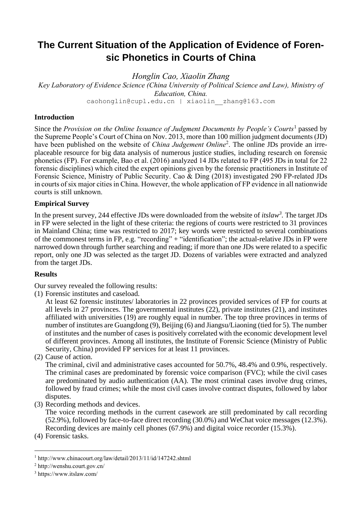# **The Current Situation of the Application of Evidence of Forensic Phonetics in Courts of China**

*Honglin Cao, Xiaolin Zhang*

*Key Laboratory of Evidence Science (China University of Political Science and Law), Ministry of Education, China.*

caohonglin@cupl.edu.cn | xiaolin\_\_zhang@163.com

### **Introduction**

Since the *[Provision on the Online Issuance of Judgment Documents by People's Courts](http://www.chinacourt.org/article/detail/2013/11/id/1152212.shtml)*<sup>1</sup> passed by the Supreme People's Court of China on Nov. 2013, more than 100 million judgment documents (JD) have been published on the website of *China Judgement Online*<sup>2</sup>. The online JDs provide an irreplaceable resource for big data analysis of numerous justice studies, including research on forensic phonetics (FP). For example, Bao et al. (2016) analyzed 14 JDs related to FP (495 JDs in total for 22 forensic disciplines) which cited the expert opinions given by the forensic practitioners in Institute of Forensic Science, Ministry of Public Security. Cao & Ding (2018) investigated 290 FP-related JDs in courts of six major cities in China. However, the whole application of FP evidence in all nationwide courts is still unknown.

## **Empirical Survey**

In the present survey, 244 effective JDs were downloaded from the website of *itslaw<sup>3</sup> .* The target JDs in FP were selected in the light of these criteria: the [regions](https://www.bing.com/dict/search?q=region&FORM=BDVSP6&mkt=zh-cn) of courts were restricted to 31 provinces in Mainland China; time was restricted to 2017; key words were restricted to several combinations of the commonest terms in FP, e.g. "recording" + "identification"; the actual-relative JDs in FP were narrowed down through further searching and reading; if more than one JDs were related to a specific report, only one JD was selected as the target JD. Dozens of variables were extracted and analyzed from the target JDs.

### **Results**

Our survey revealed the following results:

(1) Forensic institutes and caseload.

At least 62 forensic institutes/ laboratories in 22 provinces provided services of FP for courts at all levels in 27 provinces. The governmental institutes (22), private institutes (21), and institutes affiliated with universities (19) are roughly equal in number. The top three provinces in terms of number of institutes are Guangdong (9), Beijing (6) and Jiangsu/Liaoning (tied for 5). The number of institutes and the number of cases is positively correlated with the economic development level of different provinces. Among all institutes, the Institute of Forensic Science (Ministry of Public Security, China) provided FP services for at least 11 provinces.

(2) Cause of action.

The criminal, civil and administrative cases accounted for 50.7%, 48.4% and 0.9%, respectively. The criminal cases are predominated by forensic voice comparison (FVC); while the civil cases are predominated by audio authentication (AA). The most criminal cases involve drug crimes, followed by fraud crimes; while the most civil cases involve contract disputes, followed by labor disputes.

(3) Recording methods and devices.

The voice recording methods in the current casework are still predominated by call recording (52.9%), followed by face-to-face direct recording (30.0%) and WeChat voice messages (12.3%). Recording devices are mainly cell phones (67.9%) and digital voice recorder (15.3%).

(4) Forensic tasks.

<sup>1</sup> http://www.chinacourt.org/law/detail/2013/11/id/147242.shtml

<sup>2</sup> http://wenshu.court.gov.cn/

<sup>3</sup> https://www.itslaw.com/